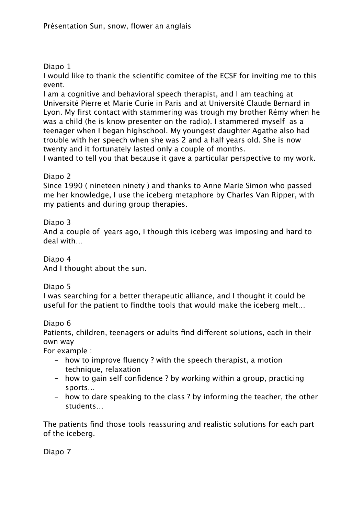# Diapo 1

I would like to thank the scientific comitee of the ECSF for inviting me to this event.

I am a cognitive and behavioral speech therapist, and I am teaching at Université Pierre et Marie Curie in Paris and at Université Claude Bernard in Lyon. My first contact with stammering was trough my brother Rémy when he was a child (he is know presenter on the radio). I stammered myself as a teenager when I began highschool. My youngest daughter Agathe also had trouble with her speech when she was 2 and a half years old. She is now twenty and it fortunately lasted only a couple of months.

I wanted to tell you that because it gave a particular perspective to my work.

# Diapo 2

Since 1990 ( nineteen ninety ) and thanks to Anne Marie Simon who passed me her knowledge, I use the iceberg metaphore by Charles Van Ripper, with my patients and during group therapies.

# Diapo 3

And a couple of years ago, I though this iceberg was imposing and hard to deal with…

# Diapo 4

And I thought about the sun.

# Diapo 5

I was searching for a better therapeutic alliance, and I thought it could be useful for the patient to findthe tools that would make the iceberg melt…

# Diapo 6

Patients, children, teenagers or adults find different solutions, each in their own way

For example :

- how to improve fluency ? with the speech therapist, a motion technique, relaxation
- how to gain self confidence ? by working within a group, practicing sports…
- how to dare speaking to the class ? by informing the teacher, the other students…

The patients find those tools reassuring and realistic solutions for each part of the iceberg.

Diapo 7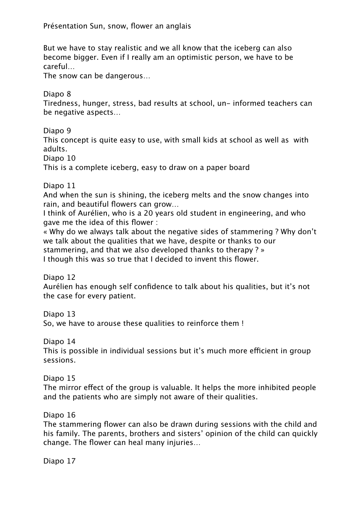Présentation Sun, snow, flower an anglais

But we have to stay realistic and we all know that the iceberg can also become bigger. Even if I really am an optimistic person, we have to be careful…

The snow can be dangerous…

Diapo 8

Tiredness, hunger, stress, bad results at school, un- informed teachers can be negative aspects…

Diapo 9

This concept is quite easy to use, with small kids at school as well as with adults.

Diapo 10

This is a complete iceberg, easy to draw on a paper board

Diapo 11

And when the sun is shining, the iceberg melts and the snow changes into rain, and beautiful flowers can grow…

I think of Aurélien, who is a 20 years old student in engineering, and who gave me the idea of this flower :

« Why do we always talk about the negative sides of stammering ? Why don't we talk about the qualities that we have, despite or thanks to our stammering, and that we also developed thanks to therapy ? » I though this was so true that I decided to invent this flower.

Diapo 12

Aurélien has enough self confidence to talk about his qualities, but it's not the case for every patient.

Diapo 13

So, we have to arouse these qualities to reinforce them !

Diapo 14

This is possible in individual sessions but it's much more efficient in group sessions.

Diapo 15

The mirror effect of the group is valuable. It helps the more inhibited people and the patients who are simply not aware of their qualities.

Diapo 16

The stammering flower can also be drawn during sessions with the child and his family. The parents, brothers and sisters' opinion of the child can quickly change. The flower can heal many injuries…

Diapo 17